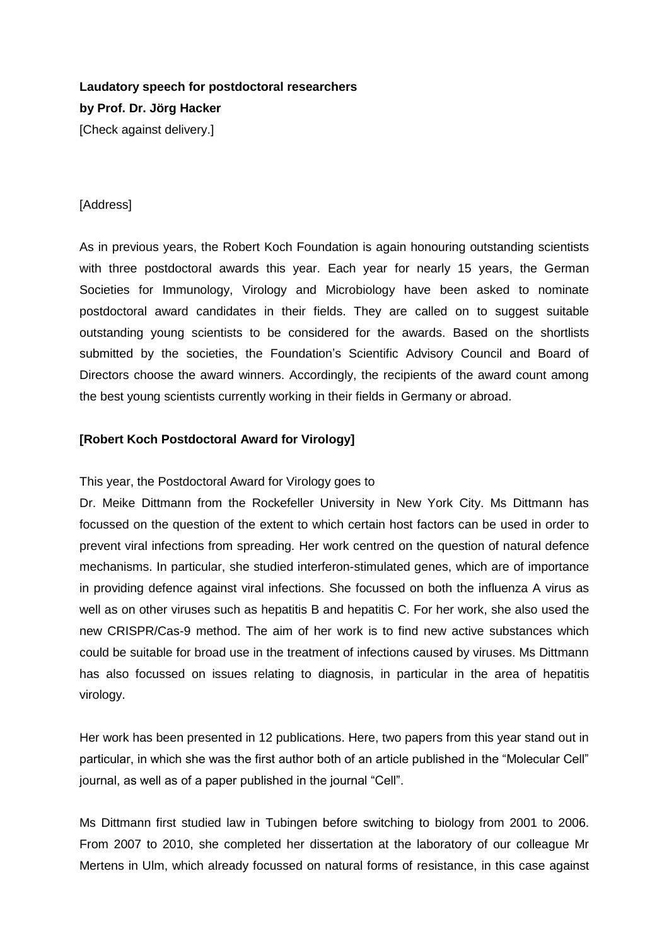# **Laudatory speech for postdoctoral researchers by Prof. Dr. Jörg Hacker** [Check against delivery.]

### [Address]

As in previous years, the Robert Koch Foundation is again honouring outstanding scientists with three postdoctoral awards this year. Each year for nearly 15 years, the German Societies for Immunology, Virology and Microbiology have been asked to nominate postdoctoral award candidates in their fields. They are called on to suggest suitable outstanding young scientists to be considered for the awards. Based on the shortlists submitted by the societies, the Foundation's Scientific Advisory Council and Board of Directors choose the award winners. Accordingly, the recipients of the award count among the best young scientists currently working in their fields in Germany or abroad.

#### **[Robert Koch Postdoctoral Award for Virology]**

This year, the Postdoctoral Award for Virology goes to

Dr. Meike Dittmann from the Rockefeller University in New York City. Ms Dittmann has focussed on the question of the extent to which certain host factors can be used in order to prevent viral infections from spreading. Her work centred on the question of natural defence mechanisms. In particular, she studied interferon-stimulated genes, which are of importance in providing defence against viral infections. She focussed on both the influenza A virus as well as on other viruses such as hepatitis B and hepatitis C. For her work, she also used the new CRISPR/Cas-9 method. The aim of her work is to find new active substances which could be suitable for broad use in the treatment of infections caused by viruses. Ms Dittmann has also focussed on issues relating to diagnosis, in particular in the area of hepatitis virology.

Her work has been presented in 12 publications. Here, two papers from this year stand out in particular, in which she was the first author both of an article published in the "Molecular Cell" journal, as well as of a paper published in the journal "Cell".

Ms Dittmann first studied law in Tubingen before switching to biology from 2001 to 2006. From 2007 to 2010, she completed her dissertation at the laboratory of our colleague Mr Mertens in Ulm, which already focussed on natural forms of resistance, in this case against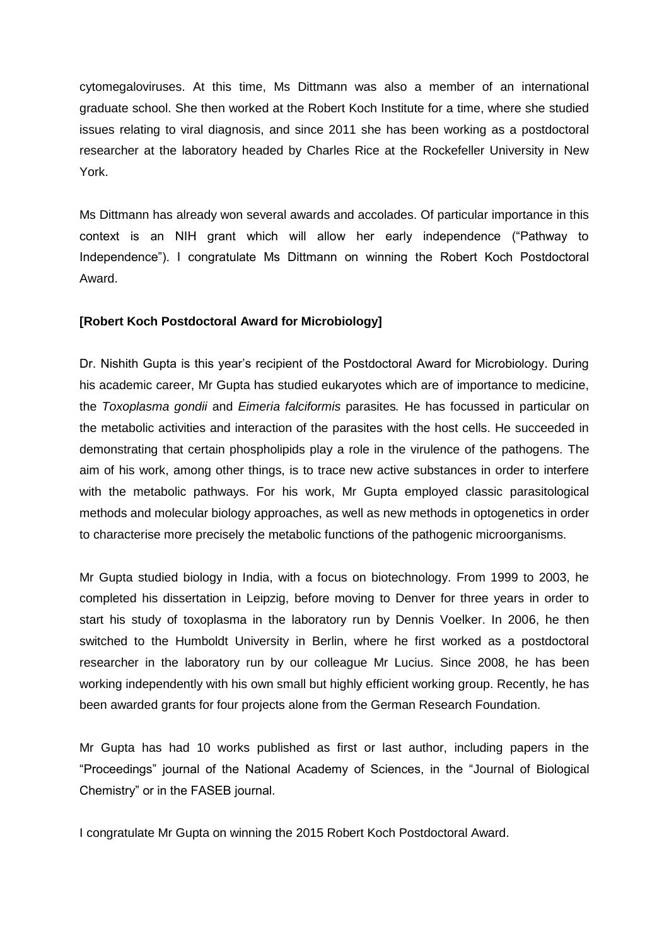cytomegaloviruses. At this time, Ms Dittmann was also a member of an international graduate school. She then worked at the Robert Koch Institute for a time, where she studied issues relating to viral diagnosis, and since 2011 she has been working as a postdoctoral researcher at the laboratory headed by Charles Rice at the Rockefeller University in New York.

Ms Dittmann has already won several awards and accolades. Of particular importance in this context is an NIH grant which will allow her early independence ("Pathway to Independence"). I congratulate Ms Dittmann on winning the Robert Koch Postdoctoral Award.

#### **[Robert Koch Postdoctoral Award for Microbiology]**

Dr. Nishith Gupta is this year's recipient of the Postdoctoral Award for Microbiology. During his academic career, Mr Gupta has studied eukaryotes which are of importance to medicine, the *Toxoplasma gondii* and *Eimeria falciformis* parasites*.* He has focussed in particular on the metabolic activities and interaction of the parasites with the host cells. He succeeded in demonstrating that certain phospholipids play a role in the virulence of the pathogens. The aim of his work, among other things, is to trace new active substances in order to interfere with the metabolic pathways. For his work, Mr Gupta employed classic parasitological methods and molecular biology approaches, as well as new methods in optogenetics in order to characterise more precisely the metabolic functions of the pathogenic microorganisms.

Mr Gupta studied biology in India, with a focus on biotechnology. From 1999 to 2003, he completed his dissertation in Leipzig, before moving to Denver for three years in order to start his study of toxoplasma in the laboratory run by Dennis Voelker. In 2006, he then switched to the Humboldt University in Berlin, where he first worked as a postdoctoral researcher in the laboratory run by our colleague Mr Lucius. Since 2008, he has been working independently with his own small but highly efficient working group. Recently, he has been awarded grants for four projects alone from the German Research Foundation.

Mr Gupta has had 10 works published as first or last author, including papers in the "Proceedings" journal of the National Academy of Sciences, in the "Journal of Biological Chemistry" or in the FASEB journal.

I congratulate Mr Gupta on winning the 2015 Robert Koch Postdoctoral Award.